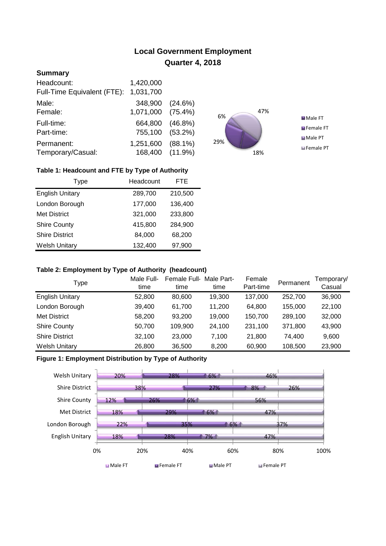# **Local Government Employment Quarter 4, 2018**

# **Summary**

| Headcount:<br>Full-Time Equivalent (FTE): | 1,420,000<br>1,031,700 |            |
|-------------------------------------------|------------------------|------------|
|                                           |                        |            |
| Male:                                     | 348,900                | (24.6%)    |
| Female:                                   | 1,071,000              | $(75.4\%)$ |
| Full-time:                                | 664,800                | $(46.8\%)$ |
| Part-time:                                | 755,100                | $(53.2\%)$ |
| Permanent:                                | 1,251,600              | $(88.1\%)$ |
| Temporary/Casual:                         | 168,400 (11.9%)        |            |



## **Table 1: Headcount and FTE by Type of Authority**

| Type                   | Headcount | FTE     |
|------------------------|-----------|---------|
| <b>English Unitary</b> | 289,700   | 210,500 |
| London Borough         | 177,000   | 136,400 |
| <b>Met District</b>    | 321,000   | 233,800 |
| <b>Shire County</b>    | 415,800   | 284,900 |
| <b>Shire District</b>  | 84,000    | 68,200  |
| <b>Welsh Unitary</b>   | 132,400   | 97,900  |

#### **Table 2: Employment by Type of Authority (headcount)**

| Type                   | Male Full-<br>time | Female Full-<br>time | Male Part-<br>time | Female<br>Part-time | Permanent | Femporary/<br>Casual |
|------------------------|--------------------|----------------------|--------------------|---------------------|-----------|----------------------|
| <b>English Unitary</b> | 52,800             | 80,600               | 19,300             | 137,000             | 252,700   | 36,900               |
| London Borough         | 39,400             | 61.700               | 11.200             | 64.800              | 155,000   | 22,100               |
| Met District           | 58,200             | 93.200               | 19,000             | 150,700             | 289,100   | 32,000               |
| <b>Shire County</b>    | 50,700             | 109.900              | 24.100             | 231.100             | 371.800   | 43,900               |
| <b>Shire District</b>  | 32,100             | 23,000               | 7,100              | 21,800              | 74.400    | 9,600                |
| <b>Welsh Unitary</b>   | 26,800             | 36,500               | 8,200              | 60,900              | 108,500   | 23,900               |

## **Figure 1: Employment Distribution by Type of Authority**